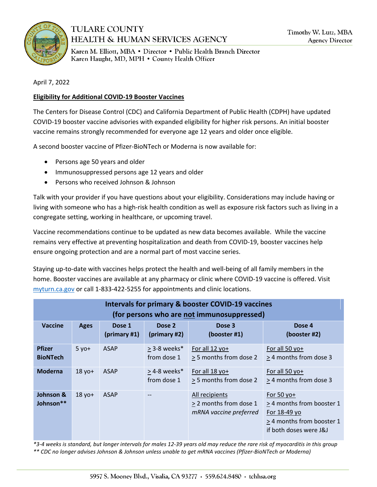

## **TULARE COUNTY HEALTH & HUMAN SERVICES AGENCY**

Karen M. Elliott, MBA · Director · Public Health Branch Director Karen Haught, MD, MPH . County Health Officer

April 7, 2022

## **Eligibility for Additional COVID-19 Booster Vaccines**

The Centers for Disease Control (CDC) and California Department of Public Health (CDPH) have updated COVID-19 booster vaccine advisories with expanded eligibility for higher risk persons. An initial booster vaccine remains strongly recommended for everyone age 12 years and older once eligible.

A second booster vaccine of Pfizer-BioNTech or Moderna is now available for:

- Persons age 50 years and older
- Immunosuppressed persons age 12 years and older
- Persons who received Johnson & Johnson

Talk with your provider if you have questions about your eligibility. Considerations may include having or living with someone who has a high-risk health condition as well as exposure risk factors such as living in a congregate setting, working in healthcare, or upcoming travel.

Vaccine recommendations continue to be updated as new data becomes available. While the vaccine remains very effective at preventing hospitalization and death from COVID-19, booster vaccines help ensure ongoing protection and are a normal part of most vaccine series.

Staying up-to-date with vaccines helps protect the health and well-being of all family members in the home. Booster vaccines are available at any pharmacy or clinic where COVID-19 vaccine is offered. Visit [myturn.ca.gov](http://myturn.ca.gov/) or call 1-833-422-5255 for appointments and clinic locations.

| <b>Intervals for primary &amp; booster COVID-19 vaccines</b><br>(for persons who are not immunosuppressed) |             |                        |                               |                                                                    |                                                                                                                |  |  |  |  |  |
|------------------------------------------------------------------------------------------------------------|-------------|------------------------|-------------------------------|--------------------------------------------------------------------|----------------------------------------------------------------------------------------------------------------|--|--|--|--|--|
| Vaccine                                                                                                    | <b>Ages</b> | Dose 1<br>(primary #1) | Dose 2<br>(primary #2)        | Dose 3<br>(booster #1)                                             | Dose 4<br>(booster #2)                                                                                         |  |  |  |  |  |
| <b>Pfizer</b><br><b>BioNTech</b>                                                                           | $5 yo+$     | <b>ASAP</b>            | > 3-8 weeks*<br>from dose 1   | For all 12 yo+<br>> 5 months from dose 2                           | For all 50 yo+<br>> 4 months from dose 3                                                                       |  |  |  |  |  |
| <b>Moderna</b>                                                                                             | $18$ yo+    | <b>ASAP</b>            | $>$ 4-8 weeks*<br>from dose 1 | For all $18$ yo+<br>> 5 months from dose 2                         | For all 50 yo+<br>> 4 months from dose 3                                                                       |  |  |  |  |  |
| Johnson &<br>Johnson**                                                                                     | $18$ yo+    | <b>ASAP</b>            |                               | All recipients<br>> 2 months from dose 1<br>mRNA vaccine preferred | For 50 yo+<br>> 4 months from booster 1<br>For 18-49 yo<br>> 4 months from booster 1<br>if both doses were J&J |  |  |  |  |  |

*\*3-4 weeks is standard, but longer intervals for males 12-39 years old may reduce the rare risk of myocarditis in this group \*\* CDC no longer advises Johnson & Johnson unless unable to get mRNA vaccines (Pfizer-BioNTech or Moderna)*